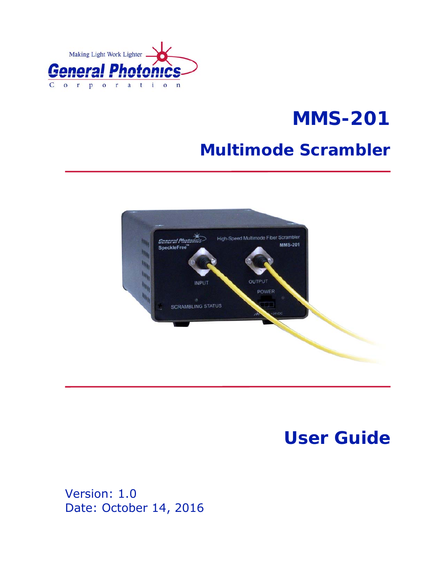

# **MMS-201**

# **Multimode Scrambler**



# **User Guide**

Version: 1.0 Date: October 14, 2016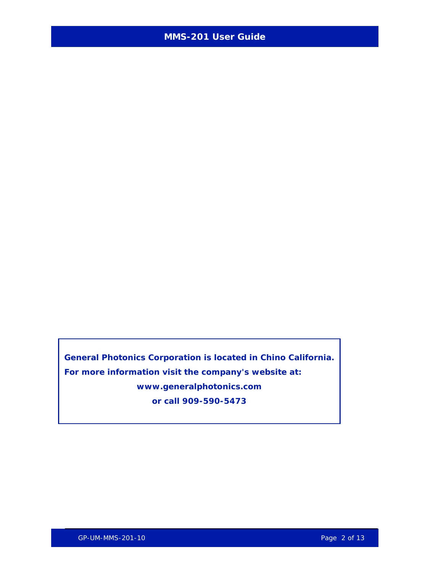**General Photonics Corporation is located in Chino California. For more information visit the company's website at: www.generalphotonics.com or call 909-590-5473**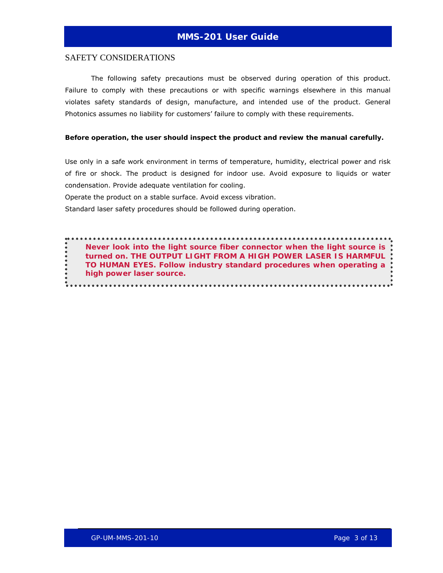#### SAFETY CONSIDERATIONS

The following safety precautions must be observed during operation of this product. Failure to comply with these precautions or with specific warnings elsewhere in this manual violates safety standards of design, manufacture, and intended use of the product. General Photonics assumes no liability for customers' failure to comply with these requirements.

#### **Before operation, the user should inspect the product and review the manual carefully.**

Use only in a safe work environment in terms of temperature, humidity, electrical power and risk of fire or shock. The product is designed for indoor use. Avoid exposure to liquids or water condensation. Provide adequate ventilation for cooling.

Operate the product on a stable surface. Avoid excess vibration.

Standard laser safety procedures should be followed during operation.

*Never look into the light source fiber connector when the light source is turned on. THE OUTPUT LIGHT FROM A HIGH POWER LASER IS HARMFUL TO HUMAN EYES. Follow industry standard procedures when operating a high power laser source.*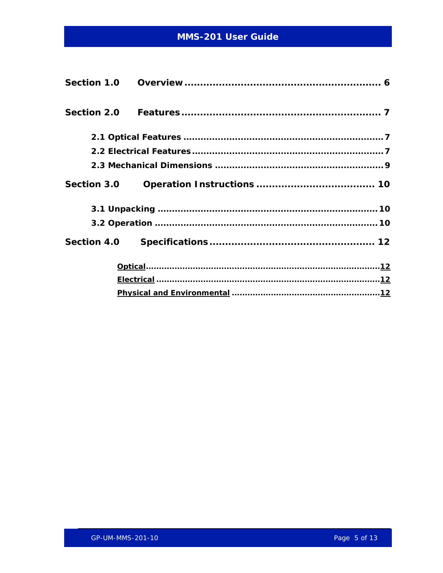| <b>Section 2.0</b> |  |
|--------------------|--|
|                    |  |
|                    |  |
|                    |  |
| <b>Section 3.0</b> |  |
|                    |  |
|                    |  |
| <b>Section 4.0</b> |  |
|                    |  |
|                    |  |
|                    |  |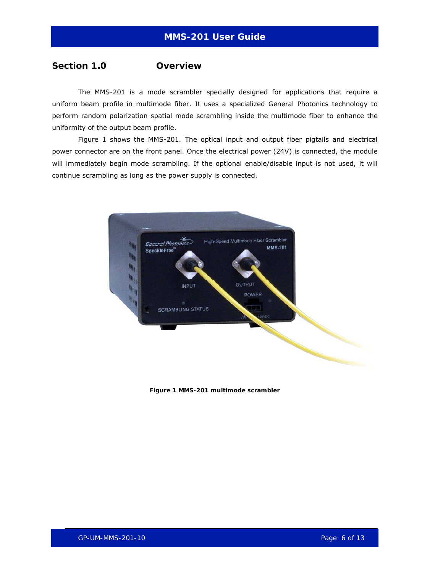#### <span id="page-5-0"></span>**Section 1.0 Overview**

The MMS-201 is a mode scrambler specially designed for applications that require a uniform beam profile in multimode fiber. It uses a specialized General Photonics technology to perform random polarization spatial mode scrambling inside the multimode fiber to enhance the uniformity of the output beam profile.

[Figure 1](#page-5-1) shows the MMS-201. The optical input and output fiber pigtails and electrical power connector are on the front panel. Once the electrical power (24V) is connected, the module will immediately begin mode scrambling. If the optional enable/disable input is not used, it will continue scrambling as long as the power supply is connected.

<span id="page-5-1"></span>

**Figure 1 MMS-201 multimode scrambler**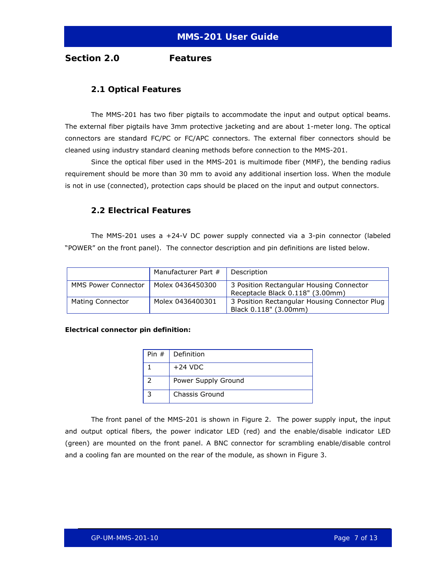<span id="page-6-0"></span>**Section 2.0 Features** 

#### **2.1 Optical Features**

The MMS-201 has two fiber pigtails to accommodate the input and output optical beams. The external fiber pigtails have 3mm protective jacketing and are about 1-meter long. The optical connectors are standard FC/PC or FC/APC connectors. The external fiber connectors should be cleaned using industry standard cleaning methods before connection to the MMS-201.

Since the optical fiber used in the MMS-201 is multimode fiber (MMF), the bending radius requirement should be more than 30 mm to avoid any additional insertion loss. When the module is not in use (connected), protection caps should be placed on the input and output connectors.

#### **2.2 Electrical Features**

The MMS-201 uses a +24-V DC power supply connected via a 3-pin connector (labeled "POWER" on the front panel). The connector description and pin definitions are listed below.

|                            | Manufacturer Part # | Description                                                                  |
|----------------------------|---------------------|------------------------------------------------------------------------------|
| <b>MMS Power Connector</b> | Molex 0436450300    | 3 Position Rectangular Housing Connector<br>Receptacle Black 0.118" (3.00mm) |
| Mating Connector           | Molex 0436400301    | 3 Position Rectangular Housing Connector Plug<br>Black 0.118" (3.00mm)       |

#### **Electrical connector pin definition:**

| Pin $#$ | Definition          |
|---------|---------------------|
|         | $+24$ VDC           |
|         | Power Supply Ground |
|         | Chassis Ground      |

The front panel of the MMS-201 is shown in [Figure 2.](#page-7-0) The power supply input, the input and output optical fibers, the power indicator LED (red) and the enable/disable indicator LED (green) are mounted on the front panel. A BNC connector for scrambling enable/disable control and a cooling fan are mounted on the rear of the module, as shown in [Figure 3.](#page-7-1)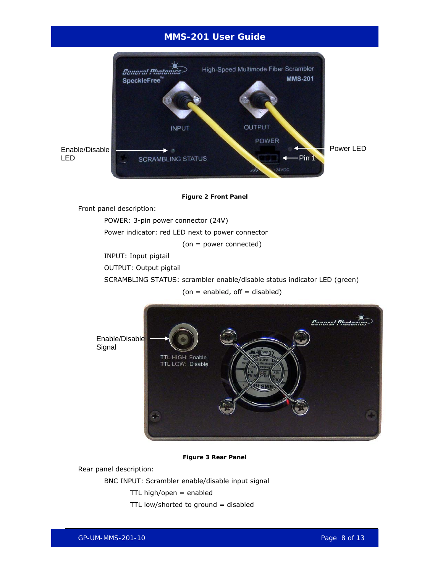

**Figure 2 Front Panel** 

<span id="page-7-0"></span>Front panel description:

POWER: 3-pin power connector (24V)

Power indicator: red LED next to power connector

(on = power connected)

INPUT: Input pigtail

OUTPUT: Output pigtail

SCRAMBLING STATUS: scrambler enable/disable status indicator LED (green)

 $($ on = enabled, off = disabled $)$ 



**Figure 3 Rear Panel** 

<span id="page-7-1"></span>Rear panel description:

BNC INPUT: Scrambler enable/disable input signal

 $TTL$  high/open = enabled

TTL low/shorted to ground = disabled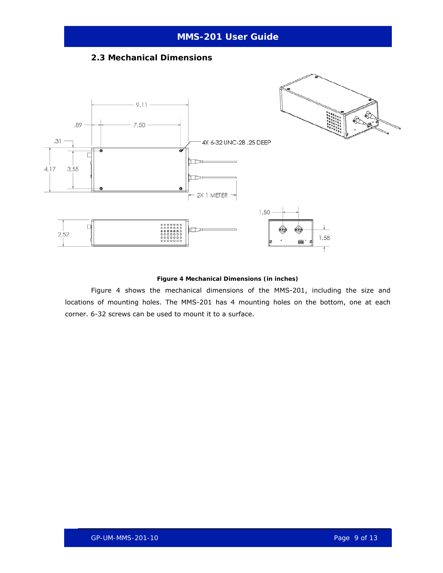#### **2.3 Mechanical Dimensions**

<span id="page-8-0"></span>

#### **Figure 4 Mechanical Dimensions (in inches)**

<span id="page-8-1"></span>[Figure 4](#page-8-1) shows the mechanical dimensions of the MMS-201, including the size and locations of mounting holes. The MMS-201 has 4 mounting holes on the bottom, one at each corner. 6-32 screws can be used to mount it to a surface.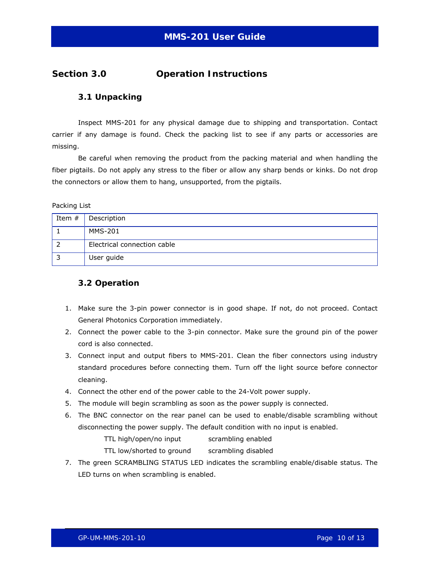### <span id="page-9-0"></span>**Section 3.0 Operation Instructions**

#### **3.1 Unpacking**

Inspect MMS-201 for any physical damage due to shipping and transportation. Contact carrier if any damage is found. Check the packing list to see if any parts or accessories are missing.

Be careful when removing the product from the packing material and when handling the fiber pigtails. Do not apply any stress to the fiber or allow any sharp bends or kinks. Do not drop the connectors or allow them to hang, unsupported, from the pigtails.

Packing List

| Item $#$ | Description                 |
|----------|-----------------------------|
|          | <b>MMS-201</b>              |
|          | Electrical connection cable |
| 3        | User guide                  |

#### **3.2 Operation**

- 1. Make sure the 3-pin power connector is in good shape. If not, do not proceed. Contact General Photonics Corporation immediately.
- 2. Connect the power cable to the 3-pin connector. Make sure the ground pin of the power cord is also connected.
- 3. Connect input and output fibers to MMS-201. Clean the fiber connectors using industry standard procedures before connecting them. Turn off the light source before connector cleaning.
- 4. Connect the other end of the power cable to the 24-Volt power supply.
- 5. The module will begin scrambling as soon as the power supply is connected.
- 6. The BNC connector on the rear panel can be used to enable/disable scrambling without disconnecting the power supply. The default condition with no input is enabled.

TTL high/open/no input scrambling enabled

TTL low/shorted to ground scrambling disabled

7. The green SCRAMBLING STATUS LED indicates the scrambling enable/disable status. The LED turns on when scrambling is enabled.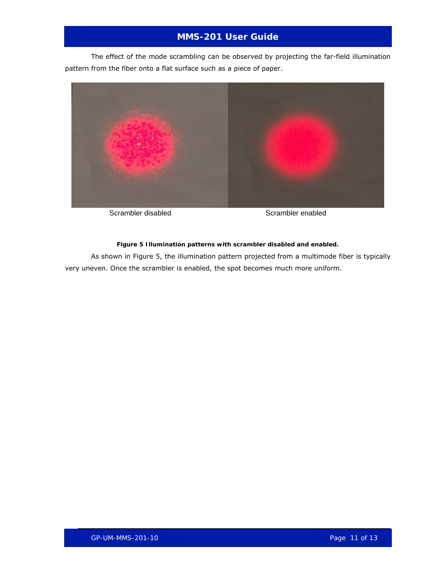The effect of the mode scrambling can be observed by projecting the far-field illumination pattern from the fiber onto a flat surface such as a piece of paper.



Scrambler disabled Scrambler enabled

#### **Figure 5 Illumination patterns with scrambler disabled and enabled.**

<span id="page-10-0"></span>As shown in [Figure 5](#page-10-0), the illumination pattern projected from a multimode fiber is typically very uneven. Once the scrambler is enabled, the spot becomes much more uniform.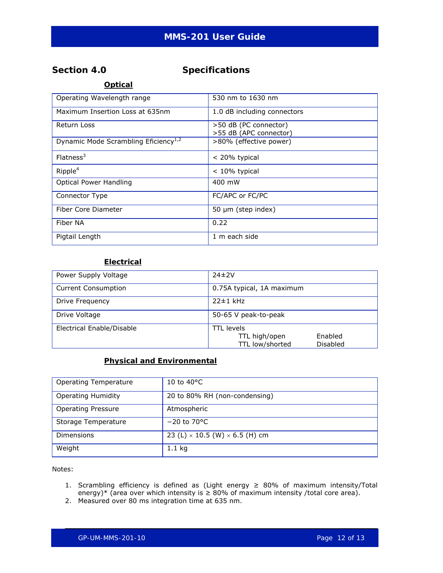### <span id="page-11-0"></span>**Section 4.0 Specifications**

**Optical**

| Operating Wavelength range                       | 530 nm to 1630 nm           |
|--------------------------------------------------|-----------------------------|
| Maximum Insertion Loss at 635nm                  | 1.0 dB including connectors |
| Return Loss                                      | >50 dB (PC connector)       |
|                                                  | >55 dB (APC connector)      |
| Dynamic Mode Scrambling Eficiency <sup>1,2</sup> | >80% (effective power)      |
| Flatness <sup>3</sup>                            | < 20% typical               |
| Ripple <sup>4</sup>                              | $< 10\%$ typical            |
| <b>Optical Power Handling</b>                    | 400 mW                      |
| Connector Type                                   | FC/APC or FC/PC             |
| Fiber Core Diameter                              | $50 \mu m$ (step index)     |
| Fiber NA                                         | 0.22                        |
| Pigtail Length                                   | 1 m each side               |

#### **Electrical**

| Power Supply Voltage       | $74\pm2V$                                                                    |
|----------------------------|------------------------------------------------------------------------------|
| <b>Current Consumption</b> | 0.75A typical, 1A maximum                                                    |
| Drive Frequency            | $22±1$ kHz                                                                   |
| Drive Voltage              | 50-65 V peak-to-peak                                                         |
| Electrical Enable/Disable  | <b>TTL</b> levels<br>TTL high/open<br>Enabled<br>TTL low/shorted<br>Disabled |

#### **Physical and Environmental**

| <b>Operating Temperature</b> | 10 to 40 $^{\circ}$ C                        |
|------------------------------|----------------------------------------------|
| <b>Operating Humidity</b>    | 20 to 80% RH (non-condensing)                |
| <b>Operating Pressure</b>    | Atmospheric                                  |
| Storage Temperature          | $-20$ to 70 $\degree$ C                      |
| Dimensions                   | 23 (L) $\times$ 10.5 (W) $\times$ 6.5 (H) cm |
| Weight                       | $1.1$ kg                                     |

Notes:

- 1. Scrambling efficiency is defined as (Light energy  $\geq$  80% of maximum intensity/Total energy)\* (area over which intensity is  $\geq 80\%$  of maximum intensity /total core area).
- 2. Measured over 80 ms integration time at 635 nm.